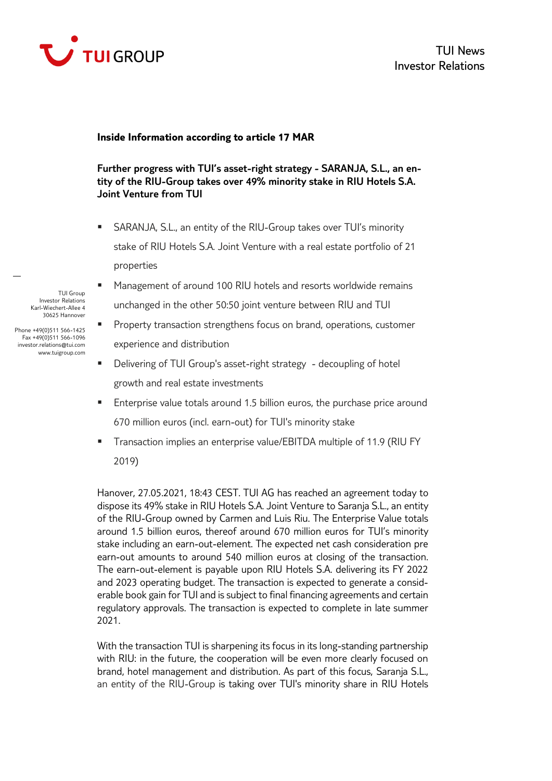

## **Inside Information according to article 17 MAR**

**Further progress with TUI's asset-right strategy - SARANJA, S.L., an entity of the RIU-Group takes over 49% minority stake in RIU Hotels S.A. Joint Venture from TUI** 

- SARANJA, S.L., an entity of the RIU-Group takes over TUI's minority stake of RIU Hotels S.A. Joint Venture with a real estate portfolio of 21 properties
- Management of around 100 RIU hotels and resorts worldwide remains unchanged in the other 50:50 joint venture between RIU and TUI
- **Property transaction strengthens focus on brand, operations, customer** experience and distribution
- Delivering of TUI Group's asset-right strategy decoupling of hotel growth and real estate investments
- **Enterprise value totals around 1.5 billion euros, the purchase price around** 670 million euros (incl. earn-out) for TUI's minority stake
- Transaction implies an enterprise value/EBITDA multiple of 11.9 (RIU FY 2019)

Hanover, 27.05.2021, 18:43 CEST. TUI AG has reached an agreement today to dispose its 49% stake in RIU Hotels S.A. Joint Venture to Saranja S.L., an entity of the RIU-Group owned by Carmen and Luis Riu. The Enterprise Value totals around 1.5 billion euros, thereof around 670 million euros for TUI's minority stake including an earn-out-element. The expected net cash consideration pre earn-out amounts to around 540 million euros at closing of the transaction. The earn-out-element is payable upon RIU Hotels S.A. delivering its FY 2022 and 2023 operating budget. The transaction is expected to generate a considerable book gain for TUI and is subject to final financing agreements and certain regulatory approvals. The transaction is expected to complete in late summer 2021.

With the transaction TUI is sharpening its focus in its long-standing partnership with RIU: in the future, the cooperation will be even more clearly focused on brand, hotel management and distribution. As part of this focus, Saranja S.L., an entity of the RIU-Group is taking over TUI's minority share in RIU Hotels

TUI Group Investor Relations Karl-Wiechert-Allee 4 30625 Hannover

Phone +49(0)511 566-1425 Fax +49(0)511 566-1096 investor.relations@tui.com www.tuigroup.com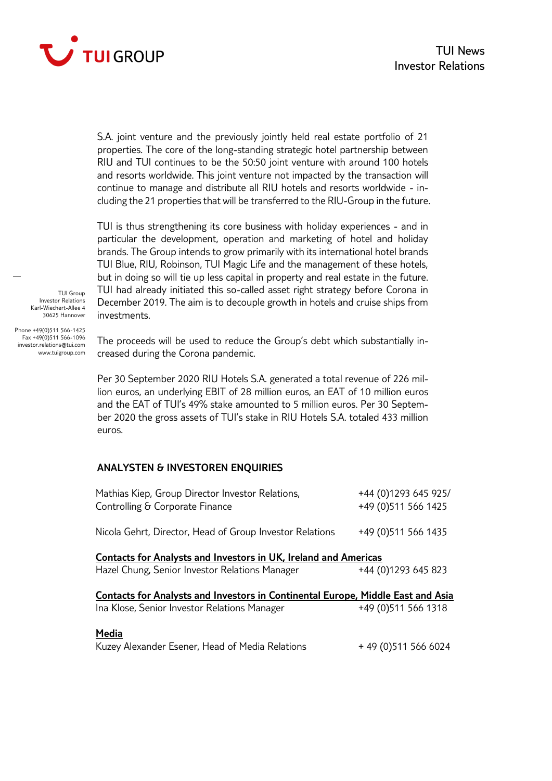

S.A. joint venture and the previously jointly held real estate portfolio of 21 properties. The core of the long-standing strategic hotel partnership between RIU and TUI continues to be the 50:50 joint venture with around 100 hotels and resorts worldwide. This joint venture not impacted by the transaction will continue to manage and distribute all RIU hotels and resorts worldwide - including the 21 properties that will be transferred to the RIU-Group in the future.

TUI is thus strengthening its core business with holiday experiences - and in particular the development, operation and marketing of hotel and holiday brands. The Group intends to grow primarily with its international hotel brands TUI Blue, RIU, Robinson, TUI Magic Life and the management of these hotels, but in doing so will tie up less capital in property and real estate in the future. TUI had already initiated this so-called asset right strategy before Corona in December 2019. The aim is to decouple growth in hotels and cruise ships from investments.

TUI Group Investor Relations Karl-Wiechert-Allee 4 30625 Hannover

Phone +49(0)511 566-1425 Fax +49(0)511 566-1096 investor.relations@tui.com www.tuigroup.com

The proceeds will be used to reduce the Group's debt which substantially increased during the Corona pandemic.

Per 30 September 2020 RIU Hotels S.A. generated a total revenue of 226 million euros, an underlying EBIT of 28 million euros, an EAT of 10 million euros and the EAT of TUI's 49% stake amounted to 5 million euros. Per 30 September 2020 the gross assets of TUI's stake in RIU Hotels S.A. totaled 433 million euros.

## **ANALYSTEN & INVESTOREN ENQUIRIES**

| Mathias Kiep, Group Director Investor Relations,<br>Controlling & Corporate Finance                                                    | +44 (0)1293 645 925/<br>+49 (0) 511 566 1425 |
|----------------------------------------------------------------------------------------------------------------------------------------|----------------------------------------------|
| Nicola Gehrt, Director, Head of Group Investor Relations                                                                               | +49 (0) 511 566 1435                         |
| <b>Contacts for Analysts and Investors in UK, Ireland and Americas</b><br>Hazel Chung, Senior Investor Relations Manager               | +44 (0)1293 645 823                          |
| <b>Contacts for Analysts and Investors in Continental Europe, Middle East and Asia</b><br>Ina Klose, Senior Investor Relations Manager | +49 (0) 511 566 1318                         |
| Media<br>Kuzey Alexander Esener, Head of Media Relations                                                                               | +49 (0) 511 566 6024                         |